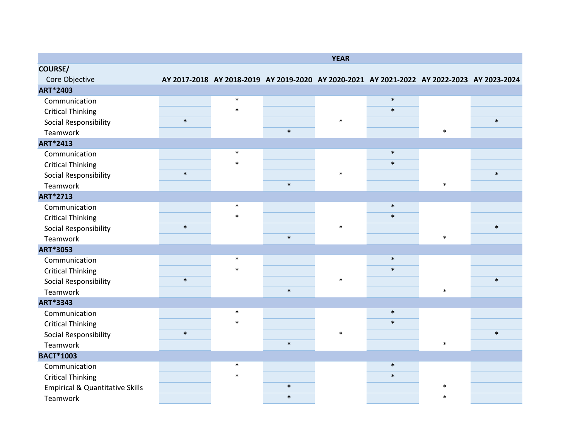|                                            |        |        |                                                                                            | <b>YEAR</b> |        |        |        |
|--------------------------------------------|--------|--------|--------------------------------------------------------------------------------------------|-------------|--------|--------|--------|
| <b>COURSE/</b>                             |        |        |                                                                                            |             |        |        |        |
| Core Objective                             |        |        | AY 2017-2018 AY 2018-2019 AY 2019-2020 AY 2020-2021 AY 2021-2022 AY 2022-2023 AY 2023-2024 |             |        |        |        |
| ART*2403                                   |        |        |                                                                                            |             |        |        |        |
| Communication                              |        | $\ast$ |                                                                                            |             | $\ast$ |        |        |
| <b>Critical Thinking</b>                   |        | $\ast$ |                                                                                            |             | $\ast$ |        |        |
| Social Responsibility                      | $\ast$ |        |                                                                                            | $\ast$      |        |        | $\ast$ |
| Teamwork                                   |        |        | $\ast$                                                                                     |             |        | $\ast$ |        |
| ART*2413                                   |        |        |                                                                                            |             |        |        |        |
| Communication                              |        | $\ast$ |                                                                                            |             | $\ast$ |        |        |
| <b>Critical Thinking</b>                   |        | $\ast$ |                                                                                            |             | $\ast$ |        |        |
| Social Responsibility                      | $\ast$ |        |                                                                                            | $\ast$      |        |        | $\ast$ |
| Teamwork                                   |        |        | $\ast$                                                                                     |             |        | $\ast$ |        |
| ART*2713                                   |        |        |                                                                                            |             |        |        |        |
| Communication                              |        | $\ast$ |                                                                                            |             | $\ast$ |        |        |
| <b>Critical Thinking</b>                   |        | $\ast$ |                                                                                            |             | $\ast$ |        |        |
| Social Responsibility                      | $\ast$ |        |                                                                                            | $\ast$      |        |        | $\ast$ |
| Teamwork                                   |        |        | $\ast$                                                                                     |             |        | $\ast$ |        |
| ART*3053                                   |        |        |                                                                                            |             |        |        |        |
| Communication                              |        | $\ast$ |                                                                                            |             | $\ast$ |        |        |
| <b>Critical Thinking</b>                   |        | $\ast$ |                                                                                            |             | $\ast$ |        |        |
| Social Responsibility                      | $\ast$ |        |                                                                                            | $\ast$      |        |        | $\ast$ |
| Teamwork                                   |        |        | $\ast$                                                                                     |             |        | $\ast$ |        |
| ART*3343                                   |        |        |                                                                                            |             |        |        |        |
| Communication                              |        | $\ast$ |                                                                                            |             | $\ast$ |        |        |
| <b>Critical Thinking</b>                   |        | $\ast$ |                                                                                            |             | $\ast$ |        |        |
| Social Responsibility                      | $\ast$ |        |                                                                                            | $\ast$      |        |        | $\ast$ |
| Teamwork                                   |        |        | $\ast$                                                                                     |             |        | $\ast$ |        |
| <b>BACT*1003</b>                           |        |        |                                                                                            |             |        |        |        |
| Communication                              |        | $\ast$ |                                                                                            |             | $\ast$ |        |        |
| <b>Critical Thinking</b>                   |        | $\ast$ |                                                                                            |             | $\ast$ |        |        |
| <b>Empirical &amp; Quantitative Skills</b> |        |        | $\ast$                                                                                     |             |        | $\ast$ |        |
| Teamwork                                   |        |        | $\ast$                                                                                     |             |        | $\ast$ |        |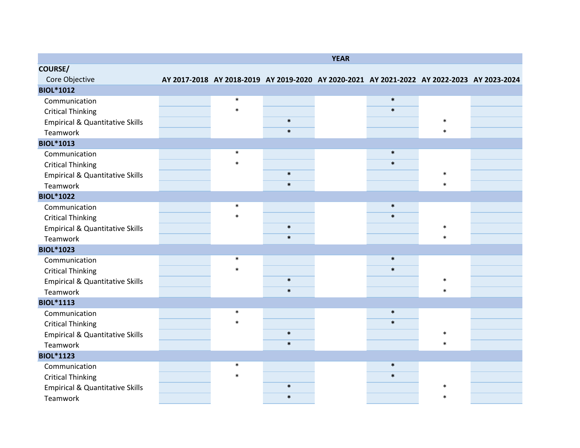|                                            |        |                                                                                            | <b>YEAR</b> |        |        |  |
|--------------------------------------------|--------|--------------------------------------------------------------------------------------------|-------------|--------|--------|--|
| <b>COURSE/</b>                             |        |                                                                                            |             |        |        |  |
| Core Objective                             |        | AY 2017-2018 AY 2018-2019 AY 2019-2020 AY 2020-2021 AY 2021-2022 AY 2022-2023 AY 2023-2024 |             |        |        |  |
| <b>BIOL*1012</b>                           |        |                                                                                            |             |        |        |  |
| Communication                              | $\ast$ |                                                                                            |             | $\ast$ |        |  |
| <b>Critical Thinking</b>                   | $\ast$ |                                                                                            |             | $\ast$ |        |  |
| <b>Empirical &amp; Quantitative Skills</b> |        | $\ast$                                                                                     |             |        | $\ast$ |  |
| Teamwork                                   |        | $\ast$                                                                                     |             |        | $\ast$ |  |
| <b>BIOL*1013</b>                           |        |                                                                                            |             |        |        |  |
| Communication                              | $\ast$ |                                                                                            |             | $\ast$ |        |  |
| <b>Critical Thinking</b>                   | $\ast$ |                                                                                            |             | $\ast$ |        |  |
| <b>Empirical &amp; Quantitative Skills</b> |        | $\ast$                                                                                     |             |        | $\ast$ |  |
| Teamwork                                   |        | $\ast$                                                                                     |             |        | $\ast$ |  |
| <b>BIOL*1022</b>                           |        |                                                                                            |             |        |        |  |
| Communication                              | $\ast$ |                                                                                            |             | $\ast$ |        |  |
| <b>Critical Thinking</b>                   | $\ast$ |                                                                                            |             | $\ast$ |        |  |
| <b>Empirical &amp; Quantitative Skills</b> |        | $\ast$                                                                                     |             |        | $\ast$ |  |
| Teamwork                                   |        | $\ast$                                                                                     |             |        | $\ast$ |  |
| <b>BIOL*1023</b>                           |        |                                                                                            |             |        |        |  |
| Communication                              | $\ast$ |                                                                                            |             | $\ast$ |        |  |
| <b>Critical Thinking</b>                   | $\ast$ |                                                                                            |             | $\ast$ |        |  |
| <b>Empirical &amp; Quantitative Skills</b> |        | $\ast$                                                                                     |             |        | $\ast$ |  |
| Teamwork                                   |        | $\ast$                                                                                     |             |        | $\ast$ |  |
| <b>BIOL*1113</b>                           |        |                                                                                            |             |        |        |  |
| Communication                              | $\ast$ |                                                                                            |             | $\ast$ |        |  |
| <b>Critical Thinking</b>                   | $\ast$ |                                                                                            |             | $\ast$ |        |  |
| <b>Empirical &amp; Quantitative Skills</b> |        | $\ast$                                                                                     |             |        | $\ast$ |  |
| Teamwork                                   |        | $\ast$                                                                                     |             |        | $\ast$ |  |
| <b>BIOL*1123</b>                           |        |                                                                                            |             |        |        |  |
| Communication                              | $\ast$ |                                                                                            |             | $\ast$ |        |  |
| <b>Critical Thinking</b>                   | $\ast$ |                                                                                            |             | $\ast$ |        |  |
| <b>Empirical &amp; Quantitative Skills</b> |        | $\ast$                                                                                     |             |        | ж      |  |
| Teamwork                                   |        | $\ast$                                                                                     |             |        | $\ast$ |  |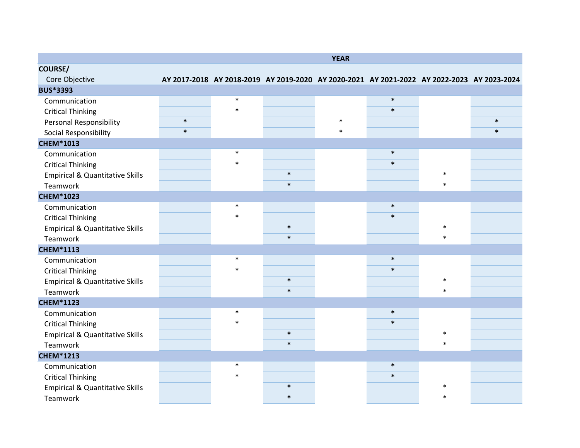|                                            |        |        |                                                                                            | <b>YEAR</b> |        |        |        |
|--------------------------------------------|--------|--------|--------------------------------------------------------------------------------------------|-------------|--------|--------|--------|
| <b>COURSE/</b>                             |        |        |                                                                                            |             |        |        |        |
| Core Objective                             |        |        | AY 2017-2018 AY 2018-2019 AY 2019-2020 AY 2020-2021 AY 2021-2022 AY 2022-2023 AY 2023-2024 |             |        |        |        |
| <b>BUS*3393</b>                            |        |        |                                                                                            |             |        |        |        |
| Communication                              |        | $\ast$ |                                                                                            |             | $\ast$ |        |        |
| <b>Critical Thinking</b>                   |        | $\ast$ |                                                                                            |             | $\ast$ |        |        |
| <b>Personal Responsibility</b>             | $\ast$ |        |                                                                                            | $\ast$      |        |        | $\ast$ |
| Social Responsibility                      | $\ast$ |        |                                                                                            | $\ast$      |        |        | $\ast$ |
| <b>CHEM*1013</b>                           |        |        |                                                                                            |             |        |        |        |
| Communication                              |        | $\ast$ |                                                                                            |             | $\ast$ |        |        |
| <b>Critical Thinking</b>                   |        | $\ast$ |                                                                                            |             | $\ast$ |        |        |
| <b>Empirical &amp; Quantitative Skills</b> |        |        | $\ast$                                                                                     |             |        | $\ast$ |        |
| Teamwork                                   |        |        | $\ast$                                                                                     |             |        | $\ast$ |        |
| <b>CHEM*1023</b>                           |        |        |                                                                                            |             |        |        |        |
| Communication                              |        | $\ast$ |                                                                                            |             | $\ast$ |        |        |
| <b>Critical Thinking</b>                   |        | $\ast$ |                                                                                            |             | $\ast$ |        |        |
| <b>Empirical &amp; Quantitative Skills</b> |        |        | $\ast$                                                                                     |             |        | $\ast$ |        |
| Teamwork                                   |        |        | $\ast$                                                                                     |             |        | $\ast$ |        |
| <b>CHEM*1113</b>                           |        |        |                                                                                            |             |        |        |        |
| Communication                              |        | $\ast$ |                                                                                            |             | $\ast$ |        |        |
| <b>Critical Thinking</b>                   |        | $\ast$ |                                                                                            |             | $\ast$ |        |        |
| <b>Empirical &amp; Quantitative Skills</b> |        |        | $\ast$                                                                                     |             |        | $\ast$ |        |
| Teamwork                                   |        |        | $\ast$                                                                                     |             |        | $\ast$ |        |
| <b>CHEM*1123</b>                           |        |        |                                                                                            |             |        |        |        |
| Communication                              |        | $\ast$ |                                                                                            |             | $\ast$ |        |        |
| <b>Critical Thinking</b>                   |        | $\ast$ |                                                                                            |             | $\ast$ |        |        |
| <b>Empirical &amp; Quantitative Skills</b> |        |        | $\ast$                                                                                     |             |        | $\ast$ |        |
| Teamwork                                   |        |        | $\ast$                                                                                     |             |        | $\ast$ |        |
| <b>CHEM*1213</b>                           |        |        |                                                                                            |             |        |        |        |
| Communication                              |        | $\ast$ |                                                                                            |             | $\ast$ |        |        |
| <b>Critical Thinking</b>                   |        | $\ast$ |                                                                                            |             | $\ast$ |        |        |
| <b>Empirical &amp; Quantitative Skills</b> |        |        | $\ast$                                                                                     |             |        | ж      |        |
| Teamwork                                   |        |        | $\ast$                                                                                     |             |        | $\ast$ |        |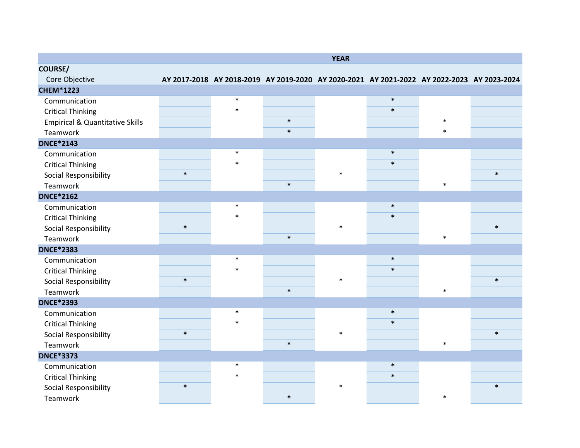|                                            |        |        |                                                                                            | <b>YEAR</b> |        |        |        |
|--------------------------------------------|--------|--------|--------------------------------------------------------------------------------------------|-------------|--------|--------|--------|
| <b>COURSE/</b>                             |        |        |                                                                                            |             |        |        |        |
| Core Objective                             |        |        | AY 2017-2018 AY 2018-2019 AY 2019-2020 AY 2020-2021 AY 2021-2022 AY 2022-2023 AY 2023-2024 |             |        |        |        |
| <b>CHEM*1223</b>                           |        |        |                                                                                            |             |        |        |        |
| Communication                              |        | $\ast$ |                                                                                            |             | $\ast$ |        |        |
| <b>Critical Thinking</b>                   |        | $\ast$ |                                                                                            |             | $\ast$ |        |        |
| <b>Empirical &amp; Quantitative Skills</b> |        |        | $\ast$                                                                                     |             |        | $\ast$ |        |
| Teamwork                                   |        |        | $\ast$                                                                                     |             |        | $\ast$ |        |
| <b>DNCE*2143</b>                           |        |        |                                                                                            |             |        |        |        |
| Communication                              |        | $\ast$ |                                                                                            |             | $\ast$ |        |        |
| <b>Critical Thinking</b>                   |        | $\ast$ |                                                                                            |             | $\ast$ |        |        |
| Social Responsibility                      | $\ast$ |        |                                                                                            | $\ast$      |        |        | $\ast$ |
| Teamwork                                   |        |        | $\ast$                                                                                     |             |        | $\ast$ |        |
| <b>DNCE*2162</b>                           |        |        |                                                                                            |             |        |        |        |
| Communication                              |        | $\ast$ |                                                                                            |             | $\ast$ |        |        |
| <b>Critical Thinking</b>                   |        | $\ast$ |                                                                                            |             | $\ast$ |        |        |
| Social Responsibility                      | $\ast$ |        |                                                                                            | $\ast$      |        |        | $\ast$ |
| Teamwork                                   |        |        | $\ast$                                                                                     |             |        | $\ast$ |        |
| <b>DNCE*2383</b>                           |        |        |                                                                                            |             |        |        |        |
| Communication                              |        | $\ast$ |                                                                                            |             | $\ast$ |        |        |
| <b>Critical Thinking</b>                   |        | $\ast$ |                                                                                            |             | $\ast$ |        |        |
| Social Responsibility                      | $\ast$ |        |                                                                                            | $\ast$      |        |        | $\ast$ |
| Teamwork                                   |        |        | $\ast$                                                                                     |             |        | $\ast$ |        |
| <b>DNCE*2393</b>                           |        |        |                                                                                            |             |        |        |        |
| Communication                              |        | $\ast$ |                                                                                            |             | $\ast$ |        |        |
| <b>Critical Thinking</b>                   |        | $\ast$ |                                                                                            |             | $\ast$ |        |        |
| Social Responsibility                      | $\ast$ |        |                                                                                            | $\ast$      |        |        | $\ast$ |
| Teamwork                                   |        |        | $\ast$                                                                                     |             |        | $\ast$ |        |
| <b>DNCE*3373</b>                           |        |        |                                                                                            |             |        |        |        |
| Communication                              |        | $\ast$ |                                                                                            |             | $\ast$ |        |        |
| <b>Critical Thinking</b>                   |        | $\ast$ |                                                                                            |             | $\ast$ |        |        |
| Social Responsibility                      | $\ast$ |        |                                                                                            | $\ast$      |        |        | $\ast$ |
| Teamwork                                   |        |        | $\ast$                                                                                     |             |        | $\ast$ |        |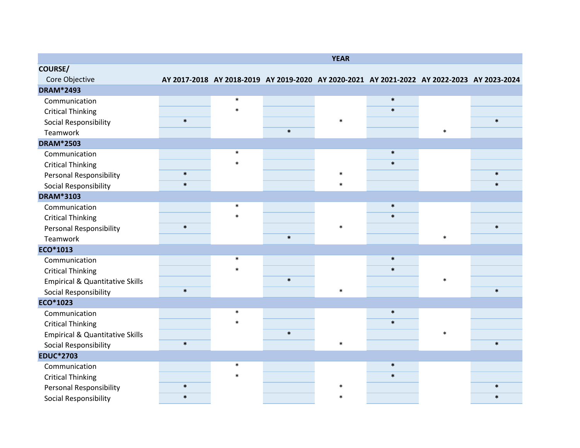|                                            |        |        |                                                                                            | <b>YEAR</b> |        |        |        |
|--------------------------------------------|--------|--------|--------------------------------------------------------------------------------------------|-------------|--------|--------|--------|
| <b>COURSE/</b>                             |        |        |                                                                                            |             |        |        |        |
| Core Objective                             |        |        | AY 2017-2018 AY 2018-2019 AY 2019-2020 AY 2020-2021 AY 2021-2022 AY 2022-2023 AY 2023-2024 |             |        |        |        |
| <b>DRAM*2493</b>                           |        |        |                                                                                            |             |        |        |        |
| Communication                              |        | $\ast$ |                                                                                            |             | $\ast$ |        |        |
| <b>Critical Thinking</b>                   |        | $\ast$ |                                                                                            |             | $\ast$ |        |        |
| Social Responsibility                      | $\ast$ |        |                                                                                            | $\ast$      |        |        | $\ast$ |
| Teamwork                                   |        |        | $\ast$                                                                                     |             |        | $\ast$ |        |
| <b>DRAM*2503</b>                           |        |        |                                                                                            |             |        |        |        |
| Communication                              |        | $\ast$ |                                                                                            |             | $\ast$ |        |        |
| <b>Critical Thinking</b>                   |        | $\ast$ |                                                                                            |             | $\ast$ |        |        |
| <b>Personal Responsibility</b>             | $\ast$ |        |                                                                                            | $\ast$      |        |        | $\ast$ |
| Social Responsibility                      | $\ast$ |        |                                                                                            | $\ast$      |        |        | $\ast$ |
| <b>DRAM*3103</b>                           |        |        |                                                                                            |             |        |        |        |
| Communication                              |        | $\ast$ |                                                                                            |             | $\ast$ |        |        |
| <b>Critical Thinking</b>                   |        | $\ast$ |                                                                                            |             | $\ast$ |        |        |
| Personal Responsibility                    | $\ast$ |        |                                                                                            | $\ast$      |        |        | $\ast$ |
| Teamwork                                   |        |        | $\ast$                                                                                     |             |        | $\ast$ |        |
| ECO*1013                                   |        |        |                                                                                            |             |        |        |        |
| Communication                              |        | $\ast$ |                                                                                            |             | $\ast$ |        |        |
| <b>Critical Thinking</b>                   |        | $\ast$ |                                                                                            |             | $\ast$ |        |        |
| <b>Empirical &amp; Quantitative Skills</b> |        |        | $\ast$                                                                                     |             |        | $\ast$ |        |
| Social Responsibility                      | $\ast$ |        |                                                                                            | $\ast$      |        |        | $\ast$ |
| ECO*1023                                   |        |        |                                                                                            |             |        |        |        |
| Communication                              |        | $\ast$ |                                                                                            |             | $\ast$ |        |        |
| <b>Critical Thinking</b>                   |        | $\ast$ |                                                                                            |             | $\ast$ |        |        |
| <b>Empirical &amp; Quantitative Skills</b> |        |        | $\ast$                                                                                     |             |        | $\ast$ |        |
| Social Responsibility                      | $\ast$ |        |                                                                                            | $\ast$      |        |        | $\ast$ |
| <b>EDUC*2703</b>                           |        |        |                                                                                            |             |        |        |        |
| Communication                              |        | $\ast$ |                                                                                            |             | $\ast$ |        |        |
| <b>Critical Thinking</b>                   |        | $\ast$ |                                                                                            |             | $\ast$ |        |        |
| <b>Personal Responsibility</b>             | $\ast$ |        |                                                                                            | 木           |        |        | $\ast$ |
| Social Responsibility                      | $\ast$ |        |                                                                                            | $\ast$      |        |        | $\ast$ |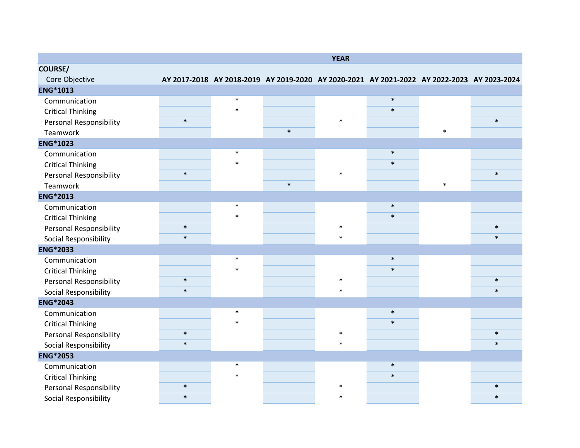|                                |        |        |                                                                                            | <b>YEAR</b> |        |        |        |
|--------------------------------|--------|--------|--------------------------------------------------------------------------------------------|-------------|--------|--------|--------|
| <b>COURSE/</b>                 |        |        |                                                                                            |             |        |        |        |
| Core Objective                 |        |        | AY 2017-2018 AY 2018-2019 AY 2019-2020 AY 2020-2021 AY 2021-2022 AY 2022-2023 AY 2023-2024 |             |        |        |        |
| <b>ENG*1013</b>                |        |        |                                                                                            |             |        |        |        |
| Communication                  |        | $\ast$ |                                                                                            |             | $\ast$ |        |        |
| <b>Critical Thinking</b>       |        | $\ast$ |                                                                                            |             | $\ast$ |        |        |
| <b>Personal Responsibility</b> | $\ast$ |        |                                                                                            | $\ast$      |        |        | $\ast$ |
| Teamwork                       |        |        | $\ast$                                                                                     |             |        | $\ast$ |        |
| <b>ENG*1023</b>                |        |        |                                                                                            |             |        |        |        |
| Communication                  |        | $\ast$ |                                                                                            |             | $\ast$ |        |        |
| <b>Critical Thinking</b>       |        | $\ast$ |                                                                                            |             | $\ast$ |        |        |
| Personal Responsibility        | $\ast$ |        |                                                                                            | $\ast$      |        |        | $\ast$ |
| Teamwork                       |        |        | $\ast$                                                                                     |             |        | $\ast$ |        |
| <b>ENG*2013</b>                |        |        |                                                                                            |             |        |        |        |
| Communication                  |        | $\ast$ |                                                                                            |             | $\ast$ |        |        |
| <b>Critical Thinking</b>       |        | $\ast$ |                                                                                            |             | $\ast$ |        |        |
| <b>Personal Responsibility</b> | $\ast$ |        |                                                                                            | $\ast$      |        |        | $\ast$ |
| Social Responsibility          | $\ast$ |        |                                                                                            | $\ast$      |        |        | $\ast$ |
| <b>ENG*2033</b>                |        |        |                                                                                            |             |        |        |        |
| Communication                  |        | $\ast$ |                                                                                            |             | $\ast$ |        |        |
| <b>Critical Thinking</b>       |        | $\ast$ |                                                                                            |             | $\ast$ |        |        |
| <b>Personal Responsibility</b> | $\ast$ |        |                                                                                            | $\ast$      |        |        | $\ast$ |
| Social Responsibility          | $\ast$ |        |                                                                                            | $\ast$      |        |        | $\ast$ |
| <b>ENG*2043</b>                |        |        |                                                                                            |             |        |        |        |
| Communication                  |        | $\ast$ |                                                                                            |             | $\ast$ |        |        |
| <b>Critical Thinking</b>       |        | $\ast$ |                                                                                            |             | $\ast$ |        |        |
| Personal Responsibility        | $\ast$ |        |                                                                                            | $\ast$      |        |        | $\ast$ |
| Social Responsibility          | $\ast$ |        |                                                                                            | $\ast$      |        |        | $\ast$ |
| <b>ENG*2053</b>                |        |        |                                                                                            |             |        |        |        |
| Communication                  |        | $\ast$ |                                                                                            |             | $\ast$ |        |        |
| <b>Critical Thinking</b>       |        | $\ast$ |                                                                                            |             | $\ast$ |        |        |
| Personal Responsibility        | $\ast$ |        |                                                                                            | $\ast$      |        |        | $\ast$ |
| Social Responsibility          | $\ast$ |        |                                                                                            | $\ast$      |        |        | $\ast$ |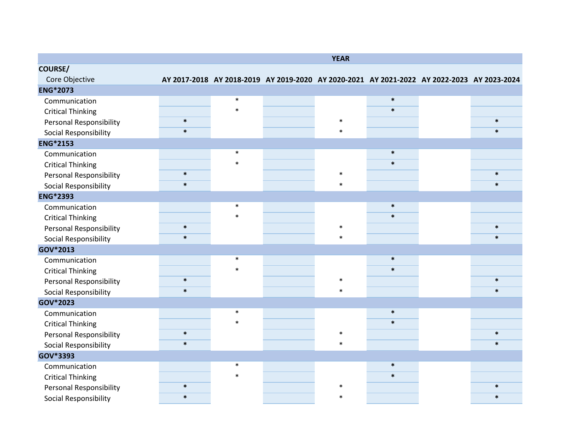|                                |        |        | <b>YEAR</b> |                                                                                            |        |
|--------------------------------|--------|--------|-------------|--------------------------------------------------------------------------------------------|--------|
| <b>COURSE/</b>                 |        |        |             |                                                                                            |        |
| Core Objective                 |        |        |             | AY 2017-2018 AY 2018-2019 AY 2019-2020 AY 2020-2021 AY 2021-2022 AY 2022-2023 AY 2023-2024 |        |
| <b>ENG*2073</b>                |        |        |             |                                                                                            |        |
| Communication                  |        | $\ast$ |             | $\ast$                                                                                     |        |
| <b>Critical Thinking</b>       |        | $\ast$ |             | $\ast$                                                                                     |        |
| <b>Personal Responsibility</b> | $\ast$ |        | $\ast$      |                                                                                            | $\ast$ |
| Social Responsibility          | $\ast$ |        | $\ast$      |                                                                                            | $\ast$ |
| <b>ENG*2153</b>                |        |        |             |                                                                                            |        |
| Communication                  |        | $\ast$ |             | $\ast$                                                                                     |        |
| <b>Critical Thinking</b>       |        | $\ast$ |             | $\ast$                                                                                     |        |
| <b>Personal Responsibility</b> | $\ast$ |        | $\ast$      |                                                                                            | $\ast$ |
| Social Responsibility          | $\ast$ |        | $\ast$      |                                                                                            | $\ast$ |
| <b>ENG*2393</b>                |        |        |             |                                                                                            |        |
| Communication                  |        | $\ast$ |             | $\ast$                                                                                     |        |
| <b>Critical Thinking</b>       |        | $\ast$ |             | $\ast$                                                                                     |        |
| <b>Personal Responsibility</b> | $\ast$ |        | $\ast$      |                                                                                            | $\ast$ |
| Social Responsibility          | $\ast$ |        | $\ast$      |                                                                                            | $\ast$ |
| GOV*2013                       |        |        |             |                                                                                            |        |
| Communication                  |        | $\ast$ |             | $\ast$                                                                                     |        |
| <b>Critical Thinking</b>       |        | $\ast$ |             | $\ast$                                                                                     |        |
| <b>Personal Responsibility</b> | $\ast$ |        | $\ast$      |                                                                                            | $\ast$ |
| Social Responsibility          | $\ast$ |        | $\ast$      |                                                                                            | $\ast$ |
| GOV*2023                       |        |        |             |                                                                                            |        |
| Communication                  |        | $\ast$ |             | $\ast$                                                                                     |        |
| <b>Critical Thinking</b>       |        | $\ast$ |             | $\ast$                                                                                     |        |
| <b>Personal Responsibility</b> | $\ast$ |        | $\ast$      |                                                                                            | $\ast$ |
| Social Responsibility          | $\ast$ |        | $\ast$      |                                                                                            | $\ast$ |
| GOV*3393                       |        |        |             |                                                                                            |        |
| Communication                  |        | $\ast$ |             | $\ast$                                                                                     |        |
| <b>Critical Thinking</b>       |        | $\ast$ |             | $\ast$                                                                                     |        |
| <b>Personal Responsibility</b> | $\ast$ |        | $\ast$      |                                                                                            | $\ast$ |
| Social Responsibility          | $\ast$ |        | $\ast$      |                                                                                            | $\ast$ |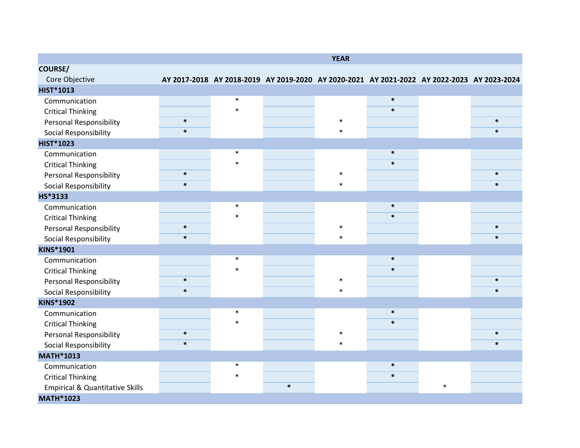|                                            |        |        |        | <b>YEAR</b> |                                                                                            |        |        |
|--------------------------------------------|--------|--------|--------|-------------|--------------------------------------------------------------------------------------------|--------|--------|
| <b>COURSE/</b>                             |        |        |        |             |                                                                                            |        |        |
| Core Objective                             |        |        |        |             | AY 2017-2018 AY 2018-2019 AY 2019-2020 AY 2020-2021 AY 2021-2022 AY 2022-2023 AY 2023-2024 |        |        |
| <b>HIST*1013</b>                           |        |        |        |             |                                                                                            |        |        |
| Communication                              |        | $\ast$ |        |             | $\ast$                                                                                     |        |        |
| <b>Critical Thinking</b>                   |        | $\ast$ |        |             | $\ast$                                                                                     |        |        |
| <b>Personal Responsibility</b>             | $\ast$ |        |        | $\ast$      |                                                                                            |        | $\ast$ |
| Social Responsibility                      | $\ast$ |        |        | $\ast$      |                                                                                            |        | $\ast$ |
| <b>HIST*1023</b>                           |        |        |        |             |                                                                                            |        |        |
| Communication                              |        | $\ast$ |        |             | $\ast$                                                                                     |        |        |
| <b>Critical Thinking</b>                   |        | $\ast$ |        |             | $\ast$                                                                                     |        |        |
| <b>Personal Responsibility</b>             | $\ast$ |        |        | $\ast$      |                                                                                            |        | $\ast$ |
| Social Responsibility                      | $\ast$ |        |        | $\ast$      |                                                                                            |        | $\ast$ |
| HS*3133                                    |        |        |        |             |                                                                                            |        |        |
| Communication                              |        | $\ast$ |        |             | $\ast$                                                                                     |        |        |
| <b>Critical Thinking</b>                   |        | $\ast$ |        |             | $\ast$                                                                                     |        |        |
| <b>Personal Responsibility</b>             | $\ast$ |        |        | $\ast$      |                                                                                            |        | $\ast$ |
| Social Responsibility                      | $\ast$ |        |        | $\ast$      |                                                                                            |        | $\ast$ |
| <b>KINS*1901</b>                           |        |        |        |             |                                                                                            |        |        |
| Communication                              |        | $\ast$ |        |             | $\ast$                                                                                     |        |        |
| <b>Critical Thinking</b>                   |        | $\ast$ |        |             | $\ast$                                                                                     |        |        |
| <b>Personal Responsibility</b>             | $\ast$ |        |        | $\ast$      |                                                                                            |        | $\ast$ |
| Social Responsibility                      | $\ast$ |        |        | $\ast$      |                                                                                            |        | $\ast$ |
| <b>KINS*1902</b>                           |        |        |        |             |                                                                                            |        |        |
| Communication                              |        | $\ast$ |        |             | $\ast$                                                                                     |        |        |
| <b>Critical Thinking</b>                   |        | $\ast$ |        |             | $\ast$                                                                                     |        |        |
| <b>Personal Responsibility</b>             | $\ast$ |        |        | $\ast$      |                                                                                            |        | $\ast$ |
| Social Responsibility                      | $\ast$ |        |        | $\ast$      |                                                                                            |        | $\ast$ |
| <b>MATH*1013</b>                           |        |        |        |             |                                                                                            |        |        |
| Communication                              |        | $\ast$ |        |             | $\ast$                                                                                     |        |        |
| <b>Critical Thinking</b>                   |        | $\ast$ |        |             | $\ast$                                                                                     |        |        |
| <b>Empirical &amp; Quantitative Skills</b> |        |        | $\ast$ |             |                                                                                            | $\ast$ |        |
| <b>MATH*1023</b>                           |        |        |        |             |                                                                                            |        |        |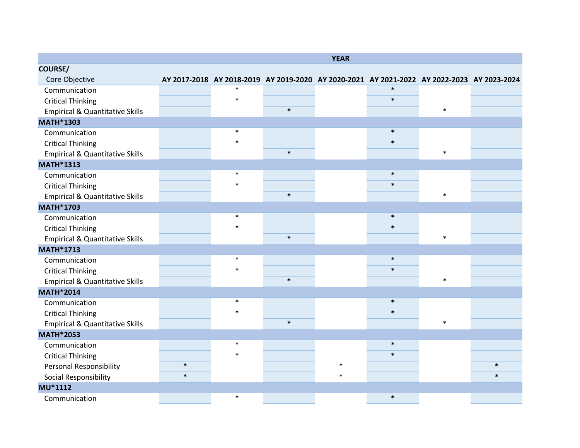|                                            |        |                                                                                            |        | <b>YEAR</b> |        |        |        |
|--------------------------------------------|--------|--------------------------------------------------------------------------------------------|--------|-------------|--------|--------|--------|
| <b>COURSE/</b>                             |        |                                                                                            |        |             |        |        |        |
| Core Objective                             |        | AY 2017-2018 AY 2018-2019 AY 2019-2020 AY 2020-2021 AY 2021-2022 AY 2022-2023 AY 2023-2024 |        |             |        |        |        |
| Communication                              |        | $\ast$                                                                                     |        |             | $\ast$ |        |        |
| <b>Critical Thinking</b>                   |        | $\ast$                                                                                     |        |             | $\ast$ |        |        |
| <b>Empirical &amp; Quantitative Skills</b> |        |                                                                                            | $\ast$ |             |        | $\ast$ |        |
| <b>MATH*1303</b>                           |        |                                                                                            |        |             |        |        |        |
| Communication                              |        | $\ast$                                                                                     |        |             | $\ast$ |        |        |
| <b>Critical Thinking</b>                   |        | $\ast$                                                                                     |        |             | $\ast$ |        |        |
| <b>Empirical &amp; Quantitative Skills</b> |        |                                                                                            | $\ast$ |             |        | $\ast$ |        |
| <b>MATH*1313</b>                           |        |                                                                                            |        |             |        |        |        |
| Communication                              |        | $\ast$                                                                                     |        |             | $\ast$ |        |        |
| <b>Critical Thinking</b>                   |        | $\ast$                                                                                     |        |             | $\ast$ |        |        |
| <b>Empirical &amp; Quantitative Skills</b> |        |                                                                                            | $\ast$ |             |        | $\ast$ |        |
| <b>MATH*1703</b>                           |        |                                                                                            |        |             |        |        |        |
| Communication                              |        | $\ast$                                                                                     |        |             | $\ast$ |        |        |
| <b>Critical Thinking</b>                   |        | $\ast$                                                                                     |        |             | $\ast$ |        |        |
| <b>Empirical &amp; Quantitative Skills</b> |        |                                                                                            | $\ast$ |             |        | $\ast$ |        |
| <b>MATH*1713</b>                           |        |                                                                                            |        |             |        |        |        |
| Communication                              |        | $\ast$                                                                                     |        |             | $\ast$ |        |        |
| <b>Critical Thinking</b>                   |        | $\ast$                                                                                     |        |             | $\ast$ |        |        |
| <b>Empirical &amp; Quantitative Skills</b> |        |                                                                                            | $\ast$ |             |        | $\ast$ |        |
| <b>MATH*2014</b>                           |        |                                                                                            |        |             |        |        |        |
| Communication                              |        | $\ast$                                                                                     |        |             | $\ast$ |        |        |
| <b>Critical Thinking</b>                   |        | $\ast$                                                                                     |        |             | $\ast$ |        |        |
| <b>Empirical &amp; Quantitative Skills</b> |        |                                                                                            | $\ast$ |             |        | $\ast$ |        |
| <b>MATH*2053</b>                           |        |                                                                                            |        |             |        |        |        |
| Communication                              |        | $\ast$                                                                                     |        |             | $\ast$ |        |        |
| <b>Critical Thinking</b>                   |        |                                                                                            |        |             | $\ast$ |        |        |
| Personal Responsibility                    | $\ast$ |                                                                                            |        | $\ast$      |        |        | $\ast$ |
| Social Responsibility                      | $\ast$ |                                                                                            |        | $\ast$      |        |        | $\ast$ |
| MU*1112                                    |        |                                                                                            |        |             |        |        |        |
| Communication                              |        | $\ast$                                                                                     |        |             | $\ast$ |        |        |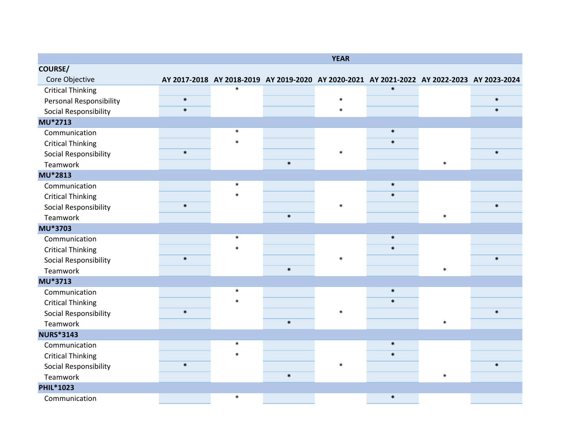|                                |        |        |                                                                                            | <b>YEAR</b> |        |        |        |
|--------------------------------|--------|--------|--------------------------------------------------------------------------------------------|-------------|--------|--------|--------|
| <b>COURSE/</b>                 |        |        |                                                                                            |             |        |        |        |
| Core Objective                 |        |        | AY 2017-2018 AY 2018-2019 AY 2019-2020 AY 2020-2021 AY 2021-2022 AY 2022-2023 AY 2023-2024 |             |        |        |        |
| <b>Critical Thinking</b>       |        | $\ast$ |                                                                                            |             | $\ast$ |        |        |
| <b>Personal Responsibility</b> | $\ast$ |        |                                                                                            | $\ast$      |        |        | $\ast$ |
| Social Responsibility          | $\ast$ |        |                                                                                            | $\ast$      |        |        | $\ast$ |
| MU*2713                        |        |        |                                                                                            |             |        |        |        |
| Communication                  |        | $\ast$ |                                                                                            |             | $\ast$ |        |        |
| <b>Critical Thinking</b>       |        | $\ast$ |                                                                                            |             | $\ast$ |        |        |
| Social Responsibility          | $\ast$ |        |                                                                                            | $\ast$      |        |        | $\ast$ |
| Teamwork                       |        |        | $\ast$                                                                                     |             |        | $\ast$ |        |
| MU*2813                        |        |        |                                                                                            |             |        |        |        |
| Communication                  |        | $\ast$ |                                                                                            |             | $\ast$ |        |        |
| <b>Critical Thinking</b>       |        | $\ast$ |                                                                                            |             | $\ast$ |        |        |
| Social Responsibility          | $\ast$ |        |                                                                                            | $\ast$      |        |        | $\ast$ |
| Teamwork                       |        |        | $\ast$                                                                                     |             |        | $\ast$ |        |
| MU*3703                        |        |        |                                                                                            |             |        |        |        |
| Communication                  |        | $\ast$ |                                                                                            |             | $\ast$ |        |        |
| <b>Critical Thinking</b>       |        | $\ast$ |                                                                                            |             | $\ast$ |        |        |
| Social Responsibility          | $\ast$ |        |                                                                                            | $\ast$      |        |        | $\ast$ |
| Teamwork                       |        |        | $\ast$                                                                                     |             |        | $\ast$ |        |
| MU*3713                        |        |        |                                                                                            |             |        |        |        |
| Communication                  |        | $\ast$ |                                                                                            |             | $\ast$ |        |        |
| <b>Critical Thinking</b>       |        | $\ast$ |                                                                                            |             | $\ast$ |        |        |
| Social Responsibility          | $\ast$ |        |                                                                                            | $\ast$      |        |        | $\ast$ |
| Teamwork                       |        |        | $\ast$                                                                                     |             |        | $\ast$ |        |
| <b>NURS*3143</b>               |        |        |                                                                                            |             |        |        |        |
| Communication                  |        | $\ast$ |                                                                                            |             | $\ast$ |        |        |
| <b>Critical Thinking</b>       |        | $\ast$ |                                                                                            |             | $\ast$ |        |        |
| Social Responsibility          | $\ast$ |        |                                                                                            | $\ast$      |        |        | $\ast$ |
| Teamwork                       |        |        | $\ast$                                                                                     |             |        | $\ast$ |        |
| <b>PHIL*1023</b>               |        |        |                                                                                            |             |        |        |        |
| Communication                  |        | $\ast$ |                                                                                            |             | $\ast$ |        |        |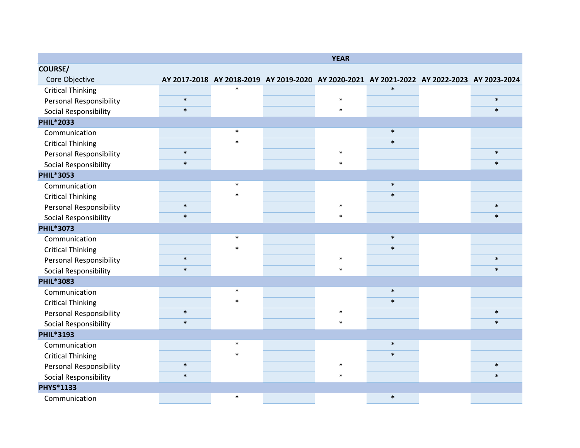|                                |        |                                                                                            | <b>YEAR</b> |        |        |
|--------------------------------|--------|--------------------------------------------------------------------------------------------|-------------|--------|--------|
| <b>COURSE/</b>                 |        |                                                                                            |             |        |        |
| Core Objective                 |        | AY 2017-2018 AY 2018-2019 AY 2019-2020 AY 2020-2021 AY 2021-2022 AY 2022-2023 AY 2023-2024 |             |        |        |
| <b>Critical Thinking</b>       |        | $\ast$                                                                                     |             | $\ast$ |        |
| Personal Responsibility        | $\ast$ |                                                                                            | $\ast$      |        | $\ast$ |
| Social Responsibility          | $\ast$ |                                                                                            | $\ast$      |        | $\ast$ |
| <b>PHIL*2033</b>               |        |                                                                                            |             |        |        |
| Communication                  |        | $\ast$                                                                                     |             | $\ast$ |        |
| <b>Critical Thinking</b>       |        | $\ast$                                                                                     |             | $\ast$ |        |
| <b>Personal Responsibility</b> | $\ast$ |                                                                                            | $\ast$      |        | $\ast$ |
| Social Responsibility          | $\ast$ |                                                                                            | $\ast$      |        | $\ast$ |
| <b>PHIL*3053</b>               |        |                                                                                            |             |        |        |
| Communication                  |        | $\ast$                                                                                     |             | $\ast$ |        |
| <b>Critical Thinking</b>       |        | $\ast$                                                                                     |             | $\ast$ |        |
| <b>Personal Responsibility</b> | $\ast$ |                                                                                            | $\ast$      |        | $\ast$ |
| Social Responsibility          | $\ast$ |                                                                                            | $\ast$      |        | $\ast$ |
| <b>PHIL*3073</b>               |        |                                                                                            |             |        |        |
| Communication                  |        | $\ast$                                                                                     |             | $\ast$ |        |
| <b>Critical Thinking</b>       |        | $\ast$                                                                                     |             | $\ast$ |        |
| <b>Personal Responsibility</b> | $\ast$ |                                                                                            | $\ast$      |        | $\ast$ |
| Social Responsibility          | $\ast$ |                                                                                            | $\ast$      |        | $\ast$ |
| <b>PHIL*3083</b>               |        |                                                                                            |             |        |        |
| Communication                  |        | $\ast$                                                                                     |             | $\ast$ |        |
| <b>Critical Thinking</b>       |        | $\ast$                                                                                     |             | $\ast$ |        |
| <b>Personal Responsibility</b> | $\ast$ |                                                                                            | $\ast$      |        | $\ast$ |
| Social Responsibility          | $\ast$ |                                                                                            | $\ast$      |        | $\ast$ |
| <b>PHIL*3193</b>               |        |                                                                                            |             |        |        |
| Communication                  |        | $\ast$                                                                                     |             | $\ast$ |        |
| <b>Critical Thinking</b>       |        | $\ast$                                                                                     |             | $\ast$ |        |
| Personal Responsibility        | $\ast$ |                                                                                            | $\ast$      |        | $\ast$ |
| Social Responsibility          | $\ast$ |                                                                                            | $\ast$      |        | $\ast$ |
| PHYS*1133                      |        |                                                                                            |             |        |        |
| Communication                  |        | $\ast$                                                                                     |             | $\ast$ |        |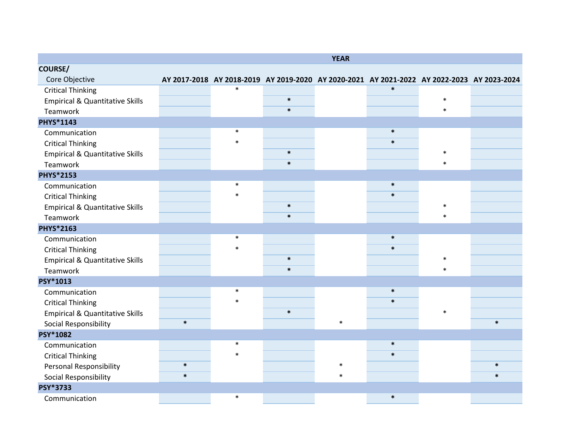|                                            |        |         |                                                                                            | <b>YEAR</b> |        |        |        |
|--------------------------------------------|--------|---------|--------------------------------------------------------------------------------------------|-------------|--------|--------|--------|
| <b>COURSE/</b>                             |        |         |                                                                                            |             |        |        |        |
| Core Objective                             |        |         | AY 2017-2018 AY 2018-2019 AY 2019-2020 AY 2020-2021 AY 2021-2022 AY 2022-2023 AY 2023-2024 |             |        |        |        |
| <b>Critical Thinking</b>                   |        | $\ast$  |                                                                                            |             | $\ast$ |        |        |
| <b>Empirical &amp; Quantitative Skills</b> |        |         | $\ast$                                                                                     |             |        | $\ast$ |        |
| Teamwork                                   |        |         | $\ast$                                                                                     |             |        | $\ast$ |        |
| PHYS*1143                                  |        |         |                                                                                            |             |        |        |        |
| Communication                              |        | $\ast$  |                                                                                            |             | $\ast$ |        |        |
| <b>Critical Thinking</b>                   |        | $\ast$  |                                                                                            |             | $\ast$ |        |        |
| <b>Empirical &amp; Quantitative Skills</b> |        |         | $\ast$                                                                                     |             |        | $\ast$ |        |
| Teamwork                                   |        |         | $\ast$                                                                                     |             |        | $\ast$ |        |
| <b>PHYS*2153</b>                           |        |         |                                                                                            |             |        |        |        |
| Communication                              |        | $\ast$  |                                                                                            |             | $\ast$ |        |        |
| <b>Critical Thinking</b>                   |        | $\ast$  |                                                                                            |             | $\ast$ |        |        |
| <b>Empirical &amp; Quantitative Skills</b> |        |         | $\ast$                                                                                     |             |        | $\ast$ |        |
| Teamwork                                   |        |         | $\ast$                                                                                     |             |        | $\ast$ |        |
| PHYS*2163                                  |        |         |                                                                                            |             |        |        |        |
| Communication                              |        | $\ast$  |                                                                                            |             | $\ast$ |        |        |
| <b>Critical Thinking</b>                   |        | $\ast$  |                                                                                            |             | $\ast$ |        |        |
| <b>Empirical &amp; Quantitative Skills</b> |        |         | $\ast$                                                                                     |             |        | $\ast$ |        |
| Teamwork                                   |        |         | $\ast$                                                                                     |             |        | $\ast$ |        |
| PSY*1013                                   |        |         |                                                                                            |             |        |        |        |
| Communication                              |        | $\ast$  |                                                                                            |             | $\ast$ |        |        |
| <b>Critical Thinking</b>                   |        | $\ast$  |                                                                                            |             | $\ast$ |        |        |
| <b>Empirical &amp; Quantitative Skills</b> |        |         | $\ast$                                                                                     |             |        | $\ast$ |        |
| Social Responsibility                      | $\ast$ |         |                                                                                            | $\ast$      |        |        | $\ast$ |
| <b>PSY*1082</b>                            |        |         |                                                                                            |             |        |        |        |
| Communication                              |        | $\ast$  |                                                                                            |             | $\ast$ |        |        |
| <b>Critical Thinking</b>                   |        | $\star$ |                                                                                            |             | $\ast$ |        |        |
| <b>Personal Responsibility</b>             | $\ast$ |         |                                                                                            | $\ast$      |        |        | $\ast$ |
| Social Responsibility                      | $\ast$ |         |                                                                                            | $\ast$      |        |        | $\ast$ |
| PSY*3733                                   |        |         |                                                                                            |             |        |        |        |
| Communication                              |        | $\ast$  |                                                                                            |             | $\ast$ |        |        |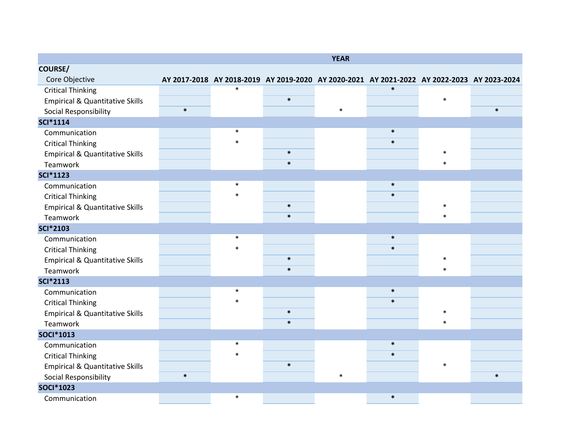|                                            |        |        |                                                                                            | <b>YEAR</b> |        |        |        |
|--------------------------------------------|--------|--------|--------------------------------------------------------------------------------------------|-------------|--------|--------|--------|
| <b>COURSE/</b>                             |        |        |                                                                                            |             |        |        |        |
| Core Objective                             |        |        | AY 2017-2018 AY 2018-2019 AY 2019-2020 AY 2020-2021 AY 2021-2022 AY 2022-2023 AY 2023-2024 |             |        |        |        |
| <b>Critical Thinking</b>                   |        | $\ast$ |                                                                                            |             | $\ast$ |        |        |
| <b>Empirical &amp; Quantitative Skills</b> |        |        | $\ast$                                                                                     |             |        | $\ast$ |        |
| Social Responsibility                      | $\ast$ |        |                                                                                            | $\ast$      |        |        | $\ast$ |
| <b>SCI*1114</b>                            |        |        |                                                                                            |             |        |        |        |
| Communication                              |        | $\ast$ |                                                                                            |             | $\ast$ |        |        |
| <b>Critical Thinking</b>                   |        | $\ast$ |                                                                                            |             | $\ast$ |        |        |
| <b>Empirical &amp; Quantitative Skills</b> |        |        | $\ast$                                                                                     |             |        | $\ast$ |        |
| Teamwork                                   |        |        | $\ast$                                                                                     |             |        | $\ast$ |        |
| <b>SCI*1123</b>                            |        |        |                                                                                            |             |        |        |        |
| Communication                              |        | $\ast$ |                                                                                            |             | $\ast$ |        |        |
| <b>Critical Thinking</b>                   |        |        |                                                                                            |             | $\ast$ |        |        |
| <b>Empirical &amp; Quantitative Skills</b> |        |        | $\ast$                                                                                     |             |        | $\ast$ |        |
| Teamwork                                   |        |        | $\ast$                                                                                     |             |        | $\ast$ |        |
| <b>SCI*2103</b>                            |        |        |                                                                                            |             |        |        |        |
| Communication                              |        | $\ast$ |                                                                                            |             | $\ast$ |        |        |
| <b>Critical Thinking</b>                   |        | $\ast$ |                                                                                            |             | $\ast$ |        |        |
| <b>Empirical &amp; Quantitative Skills</b> |        |        | $\ast$                                                                                     |             |        | $\ast$ |        |
| Teamwork                                   |        |        | $\ast$                                                                                     |             |        | $\ast$ |        |
| <b>SCI*2113</b>                            |        |        |                                                                                            |             |        |        |        |
| Communication                              |        | $\ast$ |                                                                                            |             | $\ast$ |        |        |
| <b>Critical Thinking</b>                   |        |        |                                                                                            |             | $\ast$ |        |        |
| <b>Empirical &amp; Quantitative Skills</b> |        |        | $\ast$                                                                                     |             |        | $\ast$ |        |
| Teamwork                                   |        |        | $\ast$                                                                                     |             |        | $\ast$ |        |
| <b>SOCI</b> *1013                          |        |        |                                                                                            |             |        |        |        |
| Communication                              |        | $\ast$ |                                                                                            |             | $\ast$ |        |        |
| <b>Critical Thinking</b>                   |        | $\ast$ |                                                                                            |             | $\ast$ |        |        |
| <b>Empirical &amp; Quantitative Skills</b> |        |        | $\ast$                                                                                     |             |        | $\ast$ |        |
| Social Responsibility                      | $\ast$ |        |                                                                                            | $\ast$      |        |        | $\ast$ |
| <b>SOCI*1023</b>                           |        |        |                                                                                            |             |        |        |        |
| Communication                              |        | $\ast$ |                                                                                            |             | $\ast$ |        |        |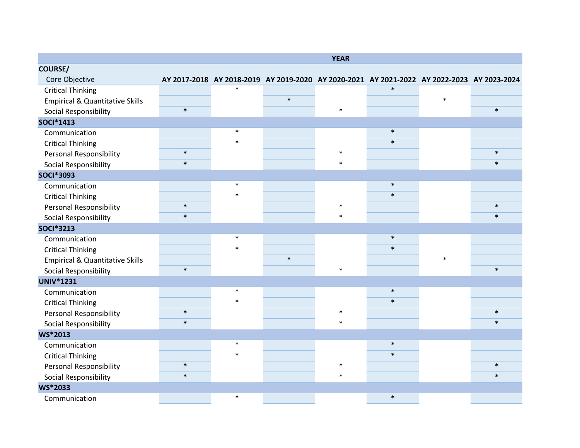|                                            |        |        |        | <b>YEAR</b> |                                                                                            |        |        |
|--------------------------------------------|--------|--------|--------|-------------|--------------------------------------------------------------------------------------------|--------|--------|
| <b>COURSE/</b>                             |        |        |        |             |                                                                                            |        |        |
| Core Objective                             |        |        |        |             | AY 2017-2018 AY 2018-2019 AY 2019-2020 AY 2020-2021 AY 2021-2022 AY 2022-2023 AY 2023-2024 |        |        |
| <b>Critical Thinking</b>                   |        | $\ast$ |        |             | $\ast$                                                                                     |        |        |
| <b>Empirical &amp; Quantitative Skills</b> |        |        | $\ast$ |             |                                                                                            | $\ast$ |        |
| Social Responsibility                      | $\ast$ |        |        | $\ast$      |                                                                                            |        | $\ast$ |
| <b>SOCI</b> *1413                          |        |        |        |             |                                                                                            |        |        |
| Communication                              |        | $\ast$ |        |             | $\ast$                                                                                     |        |        |
| <b>Critical Thinking</b>                   |        | $\ast$ |        |             | $\ast$                                                                                     |        |        |
| <b>Personal Responsibility</b>             | $\ast$ |        |        | $\ast$      |                                                                                            |        | $\ast$ |
| Social Responsibility                      | $\ast$ |        |        | $\ast$      |                                                                                            |        | $\ast$ |
| <b>SOCI*3093</b>                           |        |        |        |             |                                                                                            |        |        |
| Communication                              |        | $\ast$ |        |             | $\ast$                                                                                     |        |        |
| <b>Critical Thinking</b>                   |        | $\ast$ |        |             | $\ast$                                                                                     |        |        |
| <b>Personal Responsibility</b>             | $\ast$ |        |        | $\ast$      |                                                                                            |        | $\ast$ |
| Social Responsibility                      | $\ast$ |        |        | $\ast$      |                                                                                            |        | $\ast$ |
| <b>SOCI*3213</b>                           |        |        |        |             |                                                                                            |        |        |
| Communication                              |        | $\ast$ |        |             | $\ast$                                                                                     |        |        |
| <b>Critical Thinking</b>                   |        | $\ast$ |        |             | $\ast$                                                                                     |        |        |
| <b>Empirical &amp; Quantitative Skills</b> |        |        | $\ast$ |             |                                                                                            | $\ast$ |        |
| Social Responsibility                      | $\ast$ |        |        | $\ast$      |                                                                                            |        | $\ast$ |
| <b>UNIV*1231</b>                           |        |        |        |             |                                                                                            |        |        |
| Communication                              |        | $\ast$ |        |             | $\ast$                                                                                     |        |        |
| <b>Critical Thinking</b>                   |        | $\ast$ |        |             | $\ast$                                                                                     |        |        |
| <b>Personal Responsibility</b>             | $\ast$ |        |        | $\ast$      |                                                                                            |        | $\ast$ |
| Social Responsibility                      | $\ast$ |        |        | $\ast$      |                                                                                            |        | $\ast$ |
| <b>WS*2013</b>                             |        |        |        |             |                                                                                            |        |        |
| Communication                              |        | $\ast$ |        |             | $\ast$                                                                                     |        |        |
| <b>Critical Thinking</b>                   |        | $\ast$ |        |             | $\ast$                                                                                     |        |        |
| <b>Personal Responsibility</b>             | $\ast$ |        |        | $\ast$      |                                                                                            |        | $\ast$ |
| Social Responsibility                      | $\ast$ |        |        | $\ast$      |                                                                                            |        | $\ast$ |
| <b>WS*2033</b>                             |        |        |        |             |                                                                                            |        |        |
| Communication                              |        | $\ast$ |        |             | $\ast$                                                                                     |        |        |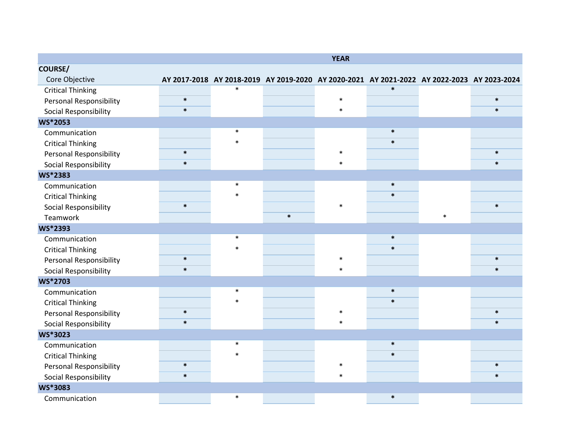|                                |        |        |                                                                                            | <b>YEAR</b> |        |        |        |
|--------------------------------|--------|--------|--------------------------------------------------------------------------------------------|-------------|--------|--------|--------|
| <b>COURSE/</b>                 |        |        |                                                                                            |             |        |        |        |
| Core Objective                 |        |        | AY 2017-2018 AY 2018-2019 AY 2019-2020 AY 2020-2021 AY 2021-2022 AY 2022-2023 AY 2023-2024 |             |        |        |        |
| <b>Critical Thinking</b>       |        | $\ast$ |                                                                                            |             | $\ast$ |        |        |
| <b>Personal Responsibility</b> | $\ast$ |        |                                                                                            | $\ast$      |        |        | $\ast$ |
| Social Responsibility          | $\ast$ |        |                                                                                            | $\ast$      |        |        | $\ast$ |
| <b>WS*2053</b>                 |        |        |                                                                                            |             |        |        |        |
| Communication                  |        | $\ast$ |                                                                                            |             | $\ast$ |        |        |
| <b>Critical Thinking</b>       |        | $\ast$ |                                                                                            |             | $\ast$ |        |        |
| <b>Personal Responsibility</b> | $\ast$ |        |                                                                                            | $\ast$      |        |        | $\ast$ |
| Social Responsibility          | $\ast$ |        |                                                                                            | $\ast$      |        |        | $\ast$ |
| <b>WS*2383</b>                 |        |        |                                                                                            |             |        |        |        |
| Communication                  |        | $\ast$ |                                                                                            |             | $\ast$ |        |        |
| <b>Critical Thinking</b>       |        | $\ast$ |                                                                                            |             | $\ast$ |        |        |
| Social Responsibility          | $\ast$ |        |                                                                                            | $\ast$      |        |        | $\ast$ |
| Teamwork                       |        |        | $\ast$                                                                                     |             |        | $\ast$ |        |
| <b>WS*2393</b>                 |        |        |                                                                                            |             |        |        |        |
| Communication                  |        | $\ast$ |                                                                                            |             | $\ast$ |        |        |
| <b>Critical Thinking</b>       |        | $\ast$ |                                                                                            |             | $\ast$ |        |        |
| <b>Personal Responsibility</b> | $\ast$ |        |                                                                                            | $\ast$      |        |        | $\ast$ |
| Social Responsibility          | $\ast$ |        |                                                                                            | $\ast$      |        |        | $\ast$ |
| <b>WS*2703</b>                 |        |        |                                                                                            |             |        |        |        |
| Communication                  |        | $\ast$ |                                                                                            |             | $\ast$ |        |        |
| <b>Critical Thinking</b>       |        | $\ast$ |                                                                                            |             | $\ast$ |        |        |
| <b>Personal Responsibility</b> | $\ast$ |        |                                                                                            | $\ast$      |        |        | $\ast$ |
| Social Responsibility          | $\ast$ |        |                                                                                            | $\ast$      |        |        | $\ast$ |
| <b>WS*3023</b>                 |        |        |                                                                                            |             |        |        |        |
| Communication                  |        | $\ast$ |                                                                                            |             | $\ast$ |        |        |
| <b>Critical Thinking</b>       |        | $\ast$ |                                                                                            |             | $\ast$ |        |        |
| <b>Personal Responsibility</b> | $\ast$ |        |                                                                                            | $\ast$      |        |        | $\ast$ |
| Social Responsibility          | $\ast$ |        |                                                                                            | $\ast$      |        |        | $\ast$ |
| WS*3083                        |        |        |                                                                                            |             |        |        |        |
| Communication                  |        | $\ast$ |                                                                                            |             | $\ast$ |        |        |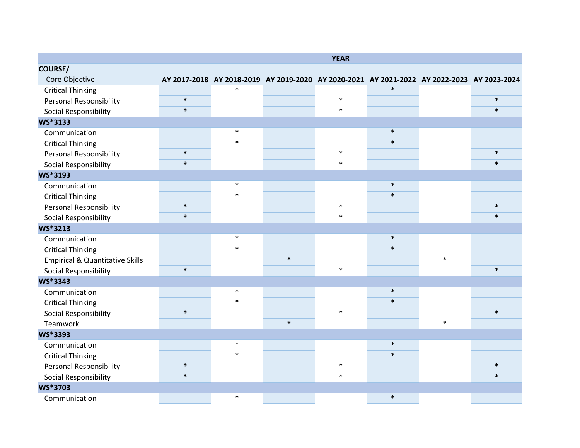|                                            |        |        |                                                                                            | <b>YEAR</b> |        |        |        |
|--------------------------------------------|--------|--------|--------------------------------------------------------------------------------------------|-------------|--------|--------|--------|
| <b>COURSE/</b>                             |        |        |                                                                                            |             |        |        |        |
| Core Objective                             |        |        | AY 2017-2018 AY 2018-2019 AY 2019-2020 AY 2020-2021 AY 2021-2022 AY 2022-2023 AY 2023-2024 |             |        |        |        |
| <b>Critical Thinking</b>                   |        | $\ast$ |                                                                                            |             | $\ast$ |        |        |
| Personal Responsibility                    | $\ast$ |        |                                                                                            | $\ast$      |        |        | $\ast$ |
| Social Responsibility                      | $\ast$ |        |                                                                                            | $\ast$      |        |        | $\ast$ |
| <b>WS*3133</b>                             |        |        |                                                                                            |             |        |        |        |
| Communication                              |        | $\ast$ |                                                                                            |             | $\ast$ |        |        |
| <b>Critical Thinking</b>                   |        | $\ast$ |                                                                                            |             | $\ast$ |        |        |
| <b>Personal Responsibility</b>             | $\ast$ |        |                                                                                            | $\ast$      |        |        | $\ast$ |
| Social Responsibility                      | $\ast$ |        |                                                                                            | $\ast$      |        |        | $\ast$ |
| <b>WS*3193</b>                             |        |        |                                                                                            |             |        |        |        |
| Communication                              |        | $\ast$ |                                                                                            |             | $\ast$ |        |        |
| <b>Critical Thinking</b>                   |        | $\ast$ |                                                                                            |             | $\ast$ |        |        |
| <b>Personal Responsibility</b>             | $\ast$ |        |                                                                                            | $\ast$      |        |        | $\ast$ |
| Social Responsibility                      | $\ast$ |        |                                                                                            | $\ast$      |        |        | $\ast$ |
| WS*3213                                    |        |        |                                                                                            |             |        |        |        |
| Communication                              |        | $\ast$ |                                                                                            |             | $\ast$ |        |        |
| <b>Critical Thinking</b>                   |        | $\ast$ |                                                                                            |             | $\ast$ |        |        |
| <b>Empirical &amp; Quantitative Skills</b> |        |        | $\ast$                                                                                     |             |        | $\ast$ |        |
| Social Responsibility                      | $\ast$ |        |                                                                                            | $\ast$      |        |        | $\ast$ |
| <b>WS*3343</b>                             |        |        |                                                                                            |             |        |        |        |
| Communication                              |        | $\ast$ |                                                                                            |             | $\ast$ |        |        |
| <b>Critical Thinking</b>                   |        | $\ast$ |                                                                                            |             | $\ast$ |        |        |
| Social Responsibility                      | $\ast$ |        |                                                                                            | $\ast$      |        |        | $\ast$ |
| Teamwork                                   |        |        | $\ast$                                                                                     |             |        | $\ast$ |        |
| WS*3393                                    |        |        |                                                                                            |             |        |        |        |
| Communication                              |        | $\ast$ |                                                                                            |             | $\ast$ |        |        |
| <b>Critical Thinking</b>                   |        | $\ast$ |                                                                                            |             | $\ast$ |        |        |
| <b>Personal Responsibility</b>             | $\ast$ |        |                                                                                            | $\ast$      |        |        | $\ast$ |
| Social Responsibility                      | $\ast$ |        |                                                                                            | $\ast$      |        |        | $\ast$ |
| WS*3703                                    |        |        |                                                                                            |             |        |        |        |
| Communication                              |        | $\ast$ |                                                                                            |             | $\ast$ |        |        |